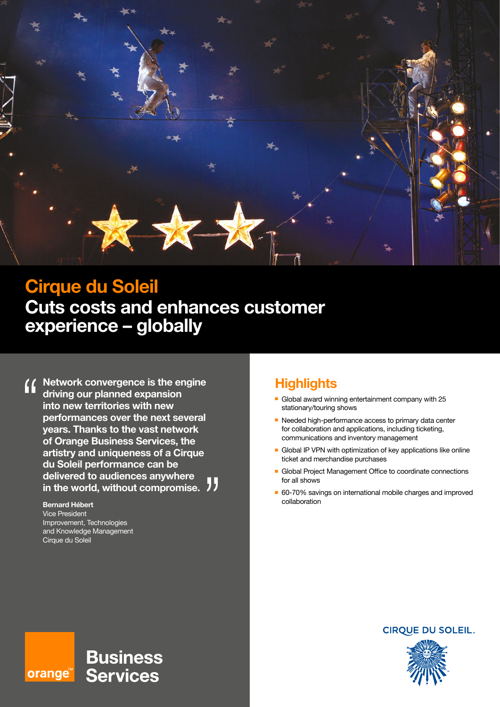

# **Cirque du Soleil Cuts costs and enhances customer experience – globally**

**Network convergence is the engine**   $\mathbf{G}$ **driving our planned expansion into new territories with new performances over the next several years. Thanks to the vast network of Orange Business Services, the artistry and uniqueness of a Cirque du Soleil performance can be delivered to audiences anywhere in the world, without compromise.**

#### **Bernard Hébert** Vice President Improvement, Technologies and Knowledge Management Cirque du Soleil

# **Highlights**

- Global award winning entertainment company with  $25$ stationary/touring shows
- **n** Needed high-performance access to primary data center for collaboration and applications, including ticketing, communications and inventory management
- Global IP VPN with optimization of key applications like online ticket and merchandise purchases
- **E** Global Project Management Office to coordinate connections for all shows
- 60-70% savings on international mobile charges and improved collaboration

### **CIRQUE DU SOLEIL.**